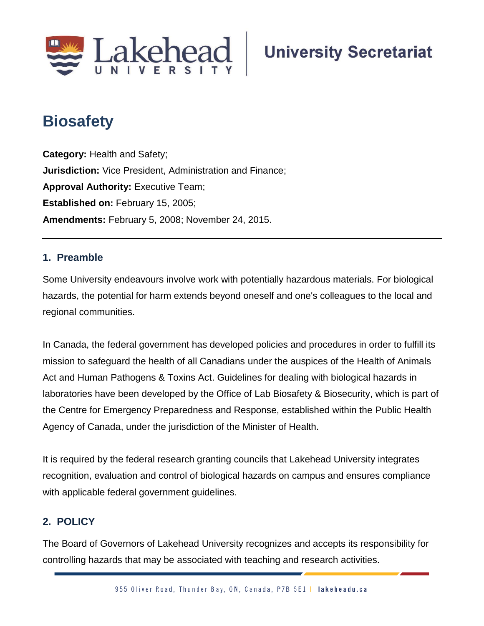

# **Biosafety;**

**Category:** Health and Safety; **Jurisdiction:** Vice President, Administration and Finance; **Approval Authority: Executive Team; Established on:** February 15, 2005; **Amendments:** February 5, 2008; November 24, 2015.

# **1. Preamble**

Some University endeavours involve work with potentially hazardous materials. For biological hazards, the potential for harm extends beyond oneself and one's colleagues to the local and regional communities.

In Canada, the federal government has developed policies and procedures in order to fulfill its mission to safeguard the health of all Canadians under the auspices of the Health of Animals Act and Human Pathogens & Toxins Act. Guidelines for dealing with biological hazards in laboratories have been developed by the Office of Lab Biosafety & Biosecurity, which is part of the Centre for Emergency Preparedness and Response, established within the Public Health Agency of Canada, under the jurisdiction of the Minister of Health.

It is required by the federal research granting councils that Lakehead University integrates recognition, evaluation and control of biological hazards on campus and ensures compliance with applicable federal government guidelines.

# **2. POLICY**

The Board of Governors of Lakehead University recognizes and accepts its responsibility for controlling hazards that may be associated with teaching and research activities.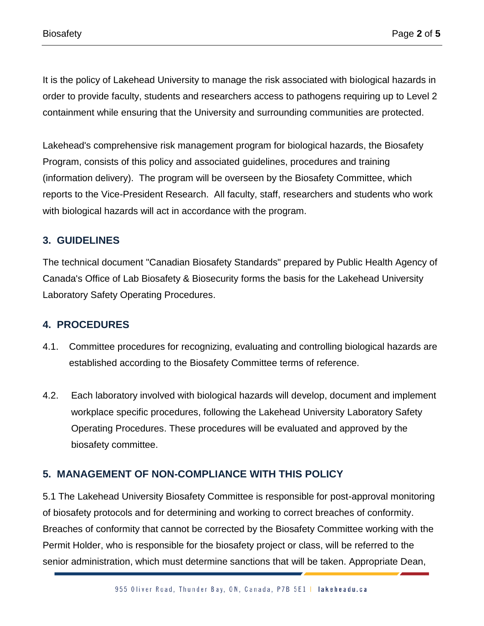It is the policy of Lakehead University to manage the risk associated with biological hazards in order to provide faculty, students and researchers access to pathogens requiring up to Level 2 containment while ensuring that the University and surrounding communities are protected.

Lakehead's comprehensive risk management program for biological hazards, the Biosafety Program, consists of this policy and associated guidelines, procedures and training (information delivery). The program will be overseen by the Biosafety Committee, which reports to the Vice-President Research. All faculty, staff, researchers and students who work with biological hazards will act in accordance with the program.

### **3. GUIDELINES**

The technical document "Canadian Biosafety Standards" prepared by Public Health Agency of Canada's Office of Lab Biosafety & Biosecurity forms the basis for the Lakehead University Laboratory Safety Operating Procedures.

#### **4. PROCEDURES**

- 4.1. Committee procedures for recognizing, evaluating and controlling biological hazards are established according to the Biosafety Committee terms of reference.
- 4.2. Each laboratory involved with biological hazards will develop, document and implement workplace specific procedures, following the Lakehead University Laboratory Safety Operating Procedures. These procedures will be evaluated and approved by the biosafety committee.

# **5. MANAGEMENT OF NON-COMPLIANCE WITH THIS POLICY**

5.1 The Lakehead University Biosafety Committee is responsible for post-approval monitoring of biosafety protocols and for determining and working to correct breaches of conformity. Breaches of conformity that cannot be corrected by the Biosafety Committee working with the Permit Holder, who is responsible for the biosafety project or class, will be referred to the senior administration, which must determine sanctions that will be taken. Appropriate Dean,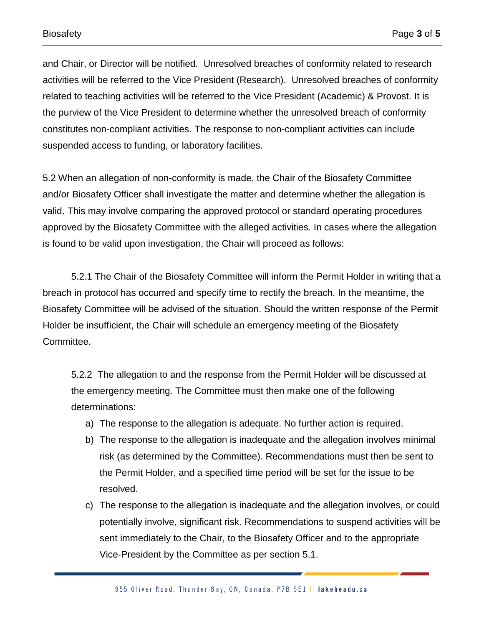and Chair, or Director will be notified. Unresolved breaches of conformity related to research activities will be referred to the Vice President (Research). Unresolved breaches of conformity related to teaching activities will be referred to the Vice President (Academic) & Provost. It is the purview of the Vice President to determine whether the unresolved breach of conformity constitutes non-compliant activities. The response to non-compliant activities can include suspended access to funding, or laboratory facilities.

5.2 When an allegation of non-conformity is made, the Chair of the Biosafety Committee and/or Biosafety Officer shall investigate the matter and determine whether the allegation is valid. This may involve comparing the approved protocol or standard operating procedures approved by the Biosafety Committee with the alleged activities. In cases where the allegation is found to be valid upon investigation, the Chair will proceed as follows:

5.2.1 The Chair of the Biosafety Committee will inform the Permit Holder in writing that a breach in protocol has occurred and specify time to rectify the breach. In the meantime, the Biosafety Committee will be advised of the situation. Should the written response of the Permit Holder be insufficient, the Chair will schedule an emergency meeting of the Biosafety Committee.

5.2.2 The allegation to and the response from the Permit Holder will be discussed at the emergency meeting. The Committee must then make one of the following determinations:

- a) The response to the allegation is adequate. No further action is required.
- b) The response to the allegation is inadequate and the allegation involves minimal risk (as determined by the Committee). Recommendations must then be sent to the Permit Holder, and a specified time period will be set for the issue to be resolved.
- c) The response to the allegation is inadequate and the allegation involves, or could potentially involve, significant risk. Recommendations to suspend activities will be sent immediately to the Chair, to the Biosafety Officer and to the appropriate Vice-President by the Committee as per section 5.1.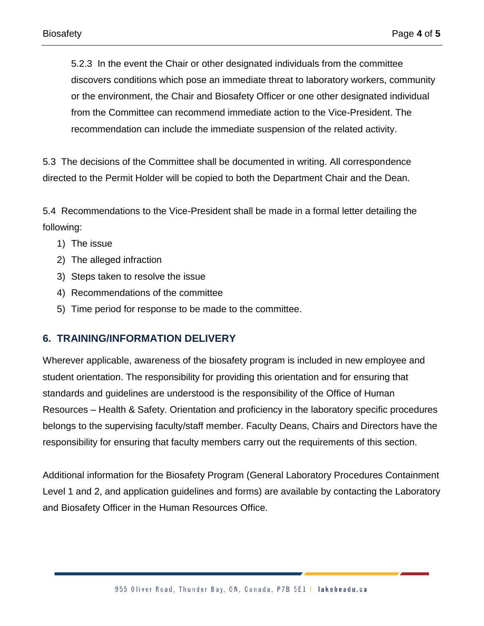5.2.3 In the event the Chair or other designated individuals from the committee discovers conditions which pose an immediate threat to laboratory workers, community or the environment, the Chair and Biosafety Officer or one other designated individual from the Committee can recommend immediate action to the Vice-President. The recommendation can include the immediate suspension of the related activity.

5.3 The decisions of the Committee shall be documented in writing. All correspondence directed to the Permit Holder will be copied to both the Department Chair and the Dean.

5.4 Recommendations to the Vice-President shall be made in a formal letter detailing the following:

- 1) The issue
- 2) The alleged infraction
- 3) Steps taken to resolve the issue
- 4) Recommendations of the committee
- 5) Time period for response to be made to the committee.

#### **6. TRAINING/INFORMATION DELIVERY**

Wherever applicable, awareness of the biosafety program is included in new employee and student orientation. The responsibility for providing this orientation and for ensuring that standards and guidelines are understood is the responsibility of the Office of Human Resources – Health & Safety. Orientation and proficiency in the laboratory specific procedures belongs to the supervising faculty/staff member. Faculty Deans, Chairs and Directors have the responsibility for ensuring that faculty members carry out the requirements of this section.

Additional information for the Biosafety Program (General Laboratory Procedures Containment Level 1 and 2, and application guidelines and forms) are available by contacting the Laboratory and Biosafety Officer in the Human Resources Office.